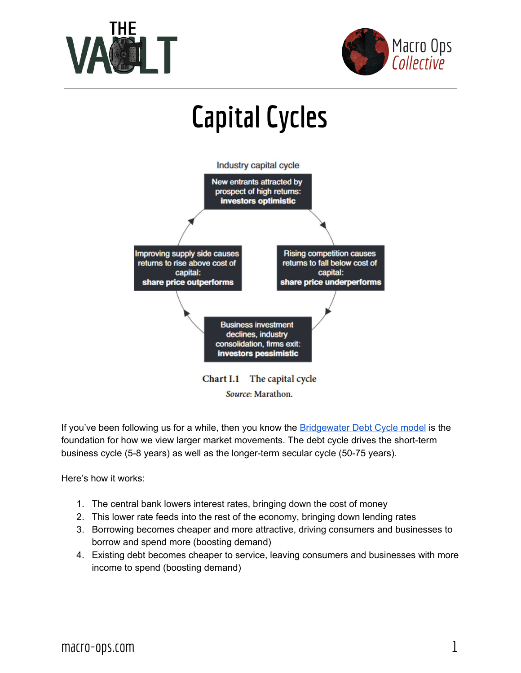



## **Capital Cycles** Industry capital cycle New entrants attracted by prospect of high returns: investors optimistic **Rising competition causes Improving supply side causes** returns to rise above cost of returns to fall below cost of capital: capital: share price outperforms share price underperforms **Business investment** declines, industry consolidation, firms exit: investors pessimistic

Chart I.1 The capital cycle Source: Marathon.

If you've been following us for a while, then you know the **[Bridgewater](http://macro-ops.com/how-short-term-and-long-term-debt-cycles-work/) Debt Cycle model** is the foundation for how we view larger market movements. The debt cycle drives the short-term business cycle (5-8 years) as well as the longer-term secular cycle (50-75 years).

Here's how it works:

- 1. The central bank lowers interest rates, bringing down the cost of money
- 2. This lower rate feeds into the rest of the economy, bringing down lending rates
- 3. Borrowing becomes cheaper and more attractive, driving consumers and businesses to borrow and spend more (boosting demand)
- 4. Existing debt becomes cheaper to service, leaving consumers and businesses with more income to spend (boosting demand)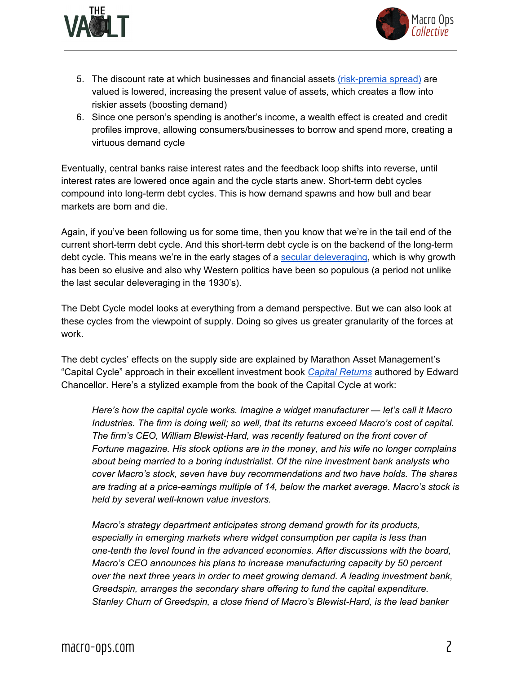



- 5. The discount rate at which businesses and financial assets [\(risk-premia](http://macro-ops.com/why-equities-are-not-overvalued-the-relative-risk-premium-spread/) spread) are valued is lowered, increasing the present value of assets, which creates a flow into riskier assets (boosting demand)
- 6. Since one person's spending is another's income, a wealth effect is created and credit profiles improve, allowing consumers/businesses to borrow and spend more, creating a virtuous demand cycle

Eventually, central banks raise interest rates and the feedback loop shifts into reverse, until interest rates are lowered once again and the cycle starts anew. Short-term debt cycles compound into long-term debt cycles. This is how demand spawns and how bull and bear markets are born and die.

Again, if you've been following us for some time, then you know that we're in the tail end of the current short-term debt cycle. And this short-term debt cycle is on the backend of the long-term debt cycle. This means we're in the early stages of a secular [deleveraging,](http://macro-ops.com/wp-content/uploads/2016/11/Four-Horseman-Special-Report-V2.pdf) which is why growth has been so elusive and also why Western politics have been so populous (a period not unlike the last secular deleveraging in the 1930's).

The Debt Cycle model looks at everything from a demand perspective. But we can also look at these cycles from the viewpoint of supply. Doing so gives us greater granularity of the forces at work.

The debt cycles' effects on the supply side are explained by Marathon Asset Management's "Capital Cycle" approach in their excellent investment book *Capital [Returns](https://www.amazon.com/gp/product/1137571640/ref=as_li_qf_sp_asin_il_tl?ie=UTF8&tag=macops-20&camp=1789&creative=9325&linkCode=as2&creativeASIN=1137571640&linkId=5812036d30f07f25c08ca96e08be985e)* authored by Edward Chancellor. Here's a stylized example from the book of the Capital Cycle at work:

*Here's how the capital cycle works. Imagine a widget manufacturer — let's call it Macro Industries. The firm is doing well; so well, that its returns exceed Macro's cost of capital. The firm's CEO, William Blewist-Hard, was recently featured on the front cover of Fortune magazine. His stock options are in the money, and his wife no longer complains about being married to a boring industrialist. Of the nine investment bank analysts who cover Macro's stock, seven have buy recommendations and two have holds. The shares are trading at a price-earnings multiple of 14, below the market average. Macro's stock is held by several well-known value investors.*

*Macro's strategy department anticipates strong demand growth for its products, especially in emerging markets where widget consumption per capita is less than one-tenth the level found in the advanced economies. After discussions with the board, Macro's CEO announces his plans to increase manufacturing capacity by 50 percent over the next three years in order to meet growing demand. A leading investment bank, Greedspin, arranges the secondary share offering to fund the capital expenditure. Stanley Churn of Greedspin, a close friend of Macro's Blewist-Hard, is the lead banker*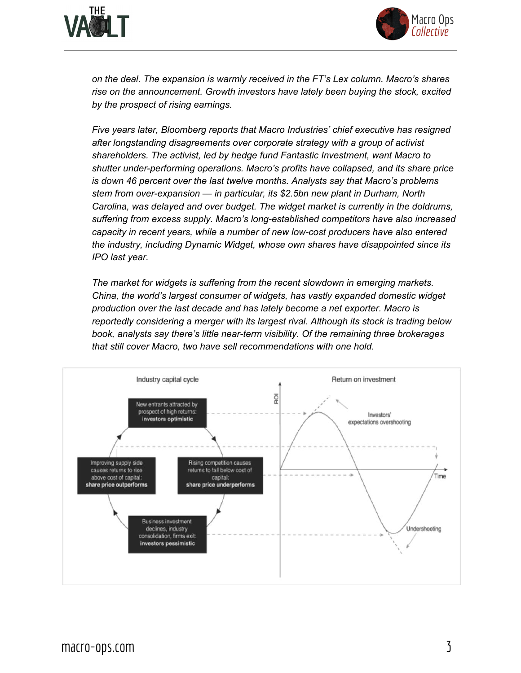



*on the deal. The expansion is warmly received in the FT's Lex column. Macro's shares rise on the announcement. Growth investors have lately been buying the stock, excited by the prospect of rising earnings.*

*Five years later, Bloomberg reports that Macro Industries' chief executive has resigned after longstanding disagreements over corporate strategy with a group of activist shareholders. The activist, led by hedge fund Fantastic Investment, want Macro to shutter under-performing operations. Macro's profits have collapsed, and its share price is down 46 percent over the last twelve months. Analysts say that Macro's problems stem from over-expansion — in particular, its \$2.5bn new plant in Durham, North Carolina, was delayed and over budget. The widget market is currently in the doldrums, suffering from excess supply. Macro's long-established competitors have also increased capacity in recent years, while a number of new low-cost producers have also entered the industry, including Dynamic Widget, whose own shares have disappointed since its IPO last year.*

*The market for widgets is suffering from the recent slowdown in emerging markets. China, the world's largest consumer of widgets, has vastly expanded domestic widget production over the last decade and has lately become a net exporter. Macro is reportedly considering a merger with its largest rival. Although its stock is trading below book, analysts say there's little near-term visibility. Of the remaining three brokerages that still cover Macro, two have sell recommendations with one hold.*

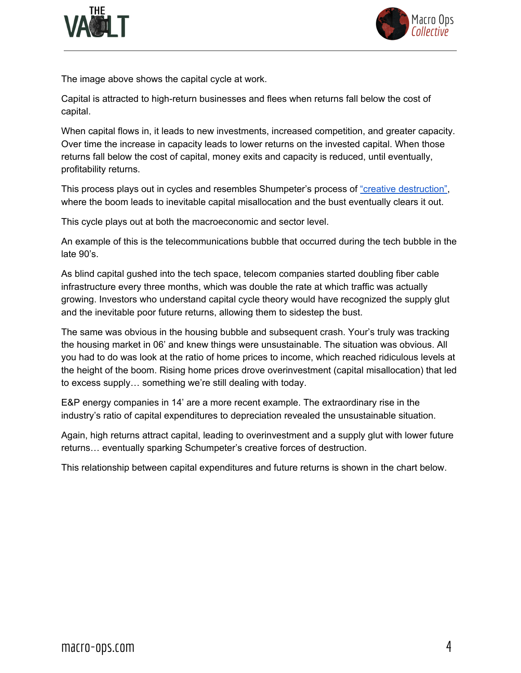



The image above shows the capital cycle at work.

Capital is attracted to high-return businesses and flees when returns fall below the cost of capital.

When capital flows in, it leads to new investments, increased competition, and greater capacity. Over time the increase in capacity leads to lower returns on the invested capital. When those returns fall below the cost of capital, money exits and capacity is reduced, until eventually, profitability returns.

This process plays out in cycles and resembles Shumpeter's process of "creative [destruction",](https://en.wikipedia.org/wiki/Creative_destruction) where the boom leads to inevitable capital misallocation and the bust eventually clears it out.

This cycle plays out at both the macroeconomic and sector level.

An example of this is the telecommunications bubble that occurred during the tech bubble in the late 90's.

As blind capital gushed into the tech space, telecom companies started doubling fiber cable infrastructure every three months, which was double the rate at which traffic was actually growing. Investors who understand capital cycle theory would have recognized the supply glut and the inevitable poor future returns, allowing them to sidestep the bust.

The same was obvious in the housing bubble and subsequent crash. Your's truly was tracking the housing market in 06' and knew things were unsustainable. The situation was obvious. All you had to do was look at the ratio of home prices to income, which reached ridiculous levels at the height of the boom. Rising home prices drove overinvestment (capital misallocation) that led to excess supply… something we're still dealing with today.

E&P energy companies in 14' are a more recent example. The extraordinary rise in the industry's ratio of capital expenditures to depreciation revealed the unsustainable situation.

Again, high returns attract capital, leading to overinvestment and a supply glut with lower future returns… eventually sparking Schumpeter's creative forces of destruction.

This relationship between capital expenditures and future returns is shown in the chart below.